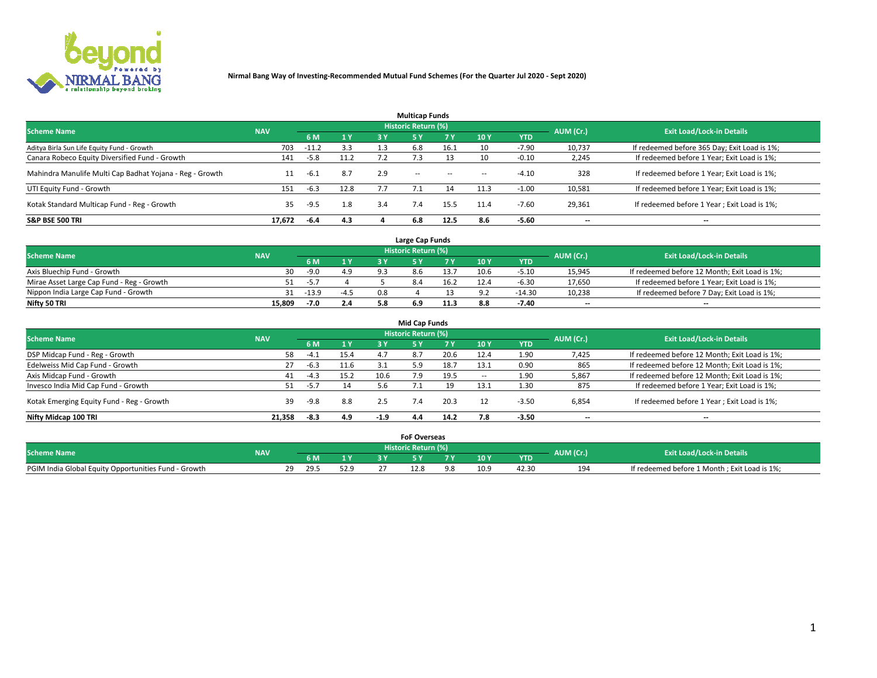

|                                                          |            |         |           |     | <b>Multicap Funds</b> |           |                          |            |           |                                              |
|----------------------------------------------------------|------------|---------|-----------|-----|-----------------------|-----------|--------------------------|------------|-----------|----------------------------------------------|
| <b>Scheme Name</b>                                       | <b>NAV</b> |         |           |     | Historic Return (%)   |           |                          |            | AUM (Cr.) | <b>Exit Load/Lock-in Details</b>             |
|                                                          |            | 6 M     | <b>1Y</b> | 3 Y | <b>5Y</b>             | <b>7Y</b> | 10Y                      | <b>YTD</b> |           |                                              |
| Aditya Birla Sun Life Equity Fund - Growth               | 703        | $-11.2$ | 3.3       | 1.3 | 6.8                   | 16.1      | 10                       | $-7.90$    | 10,737    | If redeemed before 365 Day; Exit Load is 1%; |
| Canara Robeco Equity Diversified Fund - Growth           | 141        | $-5.8$  | 11.2      |     |                       |           | 10                       | $-0.10$    | 2,245     | If redeemed before 1 Year; Exit Load is 1%;  |
| Mahindra Manulife Multi Cap Badhat Yojana - Reg - Growth | 11         | -6.1    | 8.7       | 2.9 | $\sim$ $-$            | $\sim$    | $\overline{\phantom{a}}$ | $-4.10$    | 328       | If redeemed before 1 Year; Exit Load is 1%;  |
| UTI Equity Fund - Growth                                 | 151        | $-6.3$  | 12.8      |     |                       |           | 11.3                     | $-1.00$    | 10,581    | If redeemed before 1 Year; Exit Load is 1%;  |
| Kotak Standard Multicap Fund - Reg - Growth              | 35         | $-9.5$  | 1.8       | 3.4 |                       | 15.5      | 11.4                     | $-7.60$    | 29,361    | If redeemed before 1 Year; Exit Load is 1%;  |
| <b>S&amp;P BSE 500 TRI</b>                               | 17.672     | $-6.4$  | 4.3       |     | 6.8                   | 12.5      | 8.6                      | $-5.60$    | --        | $- -$                                        |

|                                           |            |        |                |                | Large Cap Funds     |      |      |            |                          |                                               |
|-------------------------------------------|------------|--------|----------------|----------------|---------------------|------|------|------------|--------------------------|-----------------------------------------------|
| <b>Scheme Name</b>                        | <b>NAV</b> |        |                |                | Historic Return (%) |      |      |            | AUM (Cr.)                | <b>Exit Load/Lock-in Details</b>              |
|                                           |            | 6 M    | 4 <sub>Y</sub> |                |                     |      | 10 Y | <b>YTD</b> |                          |                                               |
| Axis Bluechip Fund - Growth               | 30.        | $-9.0$ | 4.9            | Q <sub>2</sub> | 8.6                 | 13.7 | 10.6 | $-5.10$    | 15,945                   | If redeemed before 12 Month; Exit Load is 1%; |
| Mirae Asset Large Cap Fund - Reg - Growth |            | $-5.7$ |                |                |                     | 16.2 |      | $-6.30$    | 17,650                   | If redeemed before 1 Year; Exit Load is 1%;   |
| Nippon India Large Cap Fund - Growth      |            | -13.9  | $-4.5$         | 0.8            |                     |      |      | -14.30     | 10,238                   | If redeemed before 7 Day; Exit Load is 1%;    |
| Nifty 50 TRI                              | 15.809     | -7.0   | 2.4            |                |                     | 11.3 | 8.8  | $-7.40$    | $\overline{\phantom{a}}$ | $- -$                                         |

|                                           |            |        |      |        | <b>Mid Cap Funds</b>       |      |                          |            |                          |                                               |
|-------------------------------------------|------------|--------|------|--------|----------------------------|------|--------------------------|------------|--------------------------|-----------------------------------------------|
| <b>Scheme Name</b>                        | <b>NAV</b> |        |      |        | <b>Historic Return (%)</b> |      |                          |            | AUM (Cr.)                | <b>Exit Load/Lock-in Details</b>              |
|                                           |            | 6 M    | 1 Y  | 3 Y    |                            | 7 Y  | 10Y                      | <b>YTD</b> |                          |                                               |
| DSP Midcap Fund - Reg - Growth            | 58         | -4.1   | 15.4 | 4.7    | 8.7                        | 20.6 | 12.4                     | 1.90       | 7,425                    | If redeemed before 12 Month; Exit Load is 1%; |
| Edelweiss Mid Cap Fund - Growth           | 27         | $-6.3$ | 11.6 |        | 5.9                        | 18.7 | 13.1                     | 0.90       | 865                      | If redeemed before 12 Month; Exit Load is 1%; |
| Axis Midcap Fund - Growth                 | 41         | $-4.3$ | 15.2 | 10.6   | 7.9                        | 19.5 | $\overline{\phantom{a}}$ | 1.90       | 5,867                    | If redeemed before 12 Month; Exit Load is 1%; |
| Invesco India Mid Cap Fund - Growth       | 51         | $-5.7$ | 14   | 5.b    |                            | 19   | 13.1                     | 1.30       | 875                      | If redeemed before 1 Year; Exit Load is 1%;   |
| Kotak Emerging Equity Fund - Reg - Growth | 39         | $-9.8$ | 8.8  | 2.5    | 7.4                        | 20.3 |                          | $-3.50$    | 6,854                    | If redeemed before 1 Year; Exit Load is 1%;   |
| Nifty Midcap 100 TRI                      | 21.358     | -8.3   | 4.9  | $-1.9$ | 4.4                        | 14.2 |                          | $-3.50$    | $\overline{\phantom{a}}$ | $- -$                                         |

|                                                      |            |                         |      | <b>FoF Overseas</b>        |      |                   |           |                                              |
|------------------------------------------------------|------------|-------------------------|------|----------------------------|------|-------------------|-----------|----------------------------------------------|
| <b>Scheme Name</b>                                   | <b>NAV</b> |                         |      | <b>Historic Return (%)</b> |      |                   | AUM (Cr.) | <b>Exit Load/Lock-in Details</b>             |
|                                                      |            | 6 M                     |      |                            | 10Y  | <b>YTD</b>        |           |                                              |
| PGIM India Global Equity Opportunities Fund - Growth |            | າດ<br>29.5<br><u>_ </u> | 52 Q | ۔2.8                       | 10.9 | 42.3 <sup>c</sup> | 194       | If redeemed before 1 Month; Exit Load is 1%; |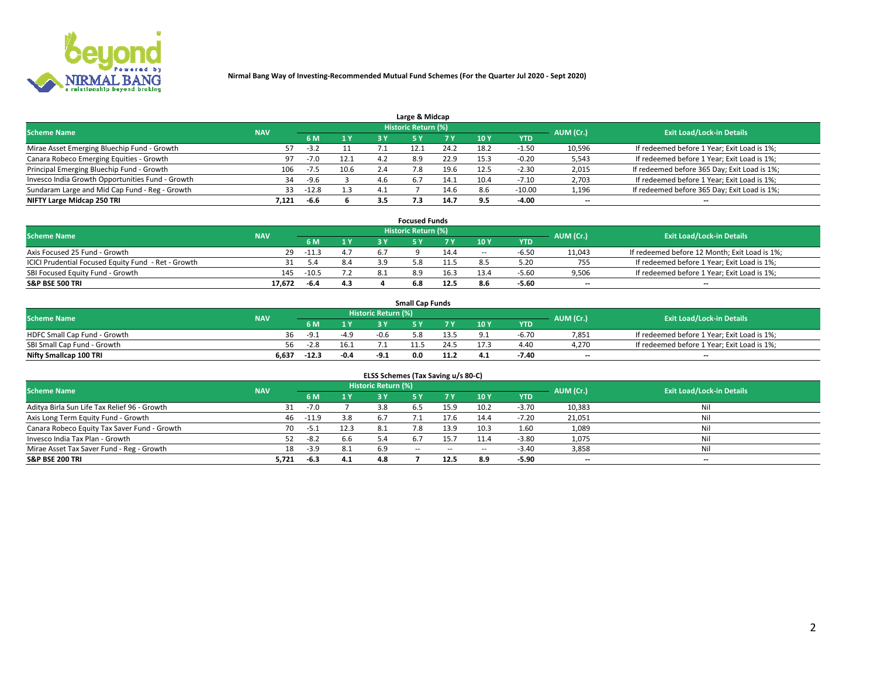

| Large & Midcap                                   |            |        |      |     |                     |      |      |            |           |                                              |  |  |  |  |
|--------------------------------------------------|------------|--------|------|-----|---------------------|------|------|------------|-----------|----------------------------------------------|--|--|--|--|
| <b>Scheme Name</b>                               | <b>NAV</b> |        |      |     | Historic Return (%) |      |      |            | AUM (Cr.) | <b>Exit Load/Lock-in Details</b>             |  |  |  |  |
|                                                  |            | 6 M    | 1 Y  |     |                     | 7 V  | 10Y  | <b>YTD</b> |           |                                              |  |  |  |  |
| Mirae Asset Emerging Bluechip Fund - Growth      | 57         | $-3.2$ |      |     |                     | 24.2 | 18.2 | 1.50       | 10,596    | If redeemed before 1 Year; Exit Load is 1%;  |  |  |  |  |
| Canara Robeco Emerging Equities - Growth         | 97         | $-7.0$ | 12.1 |     | 8.9                 | 22.9 | 15.3 | $-0.20$    | 5,543     | If redeemed before 1 Year; Exit Load is 1%;  |  |  |  |  |
| Principal Emerging Bluechip Fund - Growth        | 106        | -7.5   | 10.6 | 2.4 |                     | 19.6 | 12.5 | $-2.30$    | 2,015     | If redeemed before 365 Day; Exit Load is 1%; |  |  |  |  |
| Invesco India Growth Opportunities Fund - Growth | 34         | $-9.6$ |      | 4.b | -6.7                | 14.1 | 10.4 | $-7.10$    | 2,703     | If redeemed before 1 Year; Exit Load is 1%;  |  |  |  |  |
| Sundaram Large and Mid Cap Fund - Reg - Growth   | 33         | -12.8  | 1.3  |     |                     | 14.b |      | $-10.00$   | 1,196     | If redeemed before 365 Day; Exit Load is 1%; |  |  |  |  |
| NIFTY Large Midcap 250 TRI                       | 7.121      | -6.6   |      | 3.5 |                     | 14.7 |      | $-4.00$    | $-$       | $- -$                                        |  |  |  |  |

|                                                     |            |         |                | <b>Focused Funds</b> |      |        |            |                          |                                               |
|-----------------------------------------------------|------------|---------|----------------|----------------------|------|--------|------------|--------------------------|-----------------------------------------------|
| <b>Scheme Name</b>                                  | <b>NAV</b> |         |                | Historic Return (%)  |      |        |            | AUM (Cr.)                | <b>Exit Load/Lock-in Details</b>              |
|                                                     |            | 6 M     | 1 <sub>V</sub> |                      |      | 10 Y   | <b>YTD</b> |                          |                                               |
| Axis Focused 25 Fund - Growth                       | 29         | $-11.3$ | 4.7            |                      | 14.4 | $\sim$ | $-6.5c$    | 11,043                   | If redeemed before 12 Month; Exit Load is 1%; |
| ICICI Prudential Focused Equity Fund - Ret - Growth |            | -5.4    | 8.4            |                      | -1.5 |        | 5.20       | 755                      | If redeemed before 1 Year; Exit Load is 1%;   |
| SBI Focused Equity Fund - Growth                    | 145        | $-10.5$ |                |                      | 16.3 |        | -5.60      | 9,506                    | If redeemed before 1 Year; Exit Load is 1%;   |
| S&P BSE 500 TRI                                     | 17.672     | $-6.4$  | 4.3            | 6.8                  | 12.5 |        | $-5.60$    | $\overline{\phantom{a}}$ | $- -$                                         |

| <b>Small Cap Funds</b>       |            |               |        |                     |     |  |                 |            |           |                                             |  |  |  |
|------------------------------|------------|---------------|--------|---------------------|-----|--|-----------------|------------|-----------|---------------------------------------------|--|--|--|
| <b>Scheme Name</b>           | <b>NAV</b> |               |        | Historic Return (%) |     |  |                 |            | AUM (Cr.) | <b>Exit Load/Lock-in Details</b>            |  |  |  |
|                              |            | 6 M           | 1 Y    |                     |     |  | 10 <sub>Y</sub> | <b>YTD</b> |           |                                             |  |  |  |
| HDFC Small Cap Fund - Growth | 36         | $-9$ $\gamma$ | $-4.9$ | -0.6                | 5.8 |  |                 | -6.70      | 7,851     | If redeemed before 1 Year; Exit Load is 1%; |  |  |  |
| SBI Small Cap Fund - Growth  | 56.        |               | 16.1   |                     |     |  |                 | 4.40       | 4.270     | If redeemed before 1 Year; Exit Load is 1%; |  |  |  |
| Nifty Smallcap 100 TRI       | 6.637      | $-12.3$       | $-0.4$ | -9.1                | 0.0 |  | 4.1             | -7.40      | $- -$     | $- -$                                       |  |  |  |

| ELSS Schemes (Tax Saving u/s 80-C)           |            |         |      |                            |            |        |                          |            |                          |                                  |  |  |  |
|----------------------------------------------|------------|---------|------|----------------------------|------------|--------|--------------------------|------------|--------------------------|----------------------------------|--|--|--|
| <b>Scheme Name</b>                           | <b>NAV</b> |         |      | <b>Historic Return (%)</b> |            |        |                          |            | AUM (Cr.)                | <b>Exit Load/Lock-in Details</b> |  |  |  |
|                                              |            | 6 M     | 1Y   | 3 Y                        | <b>5Y</b>  | 7 Y    | 10 Y                     | <b>YTD</b> |                          |                                  |  |  |  |
| Aditya Birla Sun Life Tax Relief 96 - Growth |            | $-7.0$  |      |                            |            | 15.9   | 10.2                     | $-3.70$    | 10,383                   | Nil                              |  |  |  |
| Axis Long Term Equity Fund - Growth          | 46         | $-11.9$ | 3.8  | 6.7                        |            | 17.6   | 14.4                     | $-7.20$    | 21,051                   | Nil                              |  |  |  |
| Canara Robeco Equity Tax Saver Fund - Growth | 70         | $-5.1$  | 12.3 | -8.1                       | 7.8        | 13.9   | 10.3                     | 1.60       | 1,089                    | Nil                              |  |  |  |
| Invesco India Tax Plan - Growth              |            | $-8.2$  | 6.6  |                            | b.7        | 15.7   | 11.4                     | $-3.80$    | 1,075                    | Nil                              |  |  |  |
| Mirae Asset Tax Saver Fund - Reg - Growth    | 18         | $-3.9$  | 8.1  | 6.9                        | $\sim$ $-$ | $\sim$ | $\overline{\phantom{a}}$ | $-3.40$    | 3,858                    | Nil                              |  |  |  |
| S&P BSE 200 TRI                              | 5,721      | -6.3    | 4.1  | 4.8                        |            | 12.5   | 8.9                      | $-5.90$    | $\overline{\phantom{a}}$ | $- -$                            |  |  |  |

# 2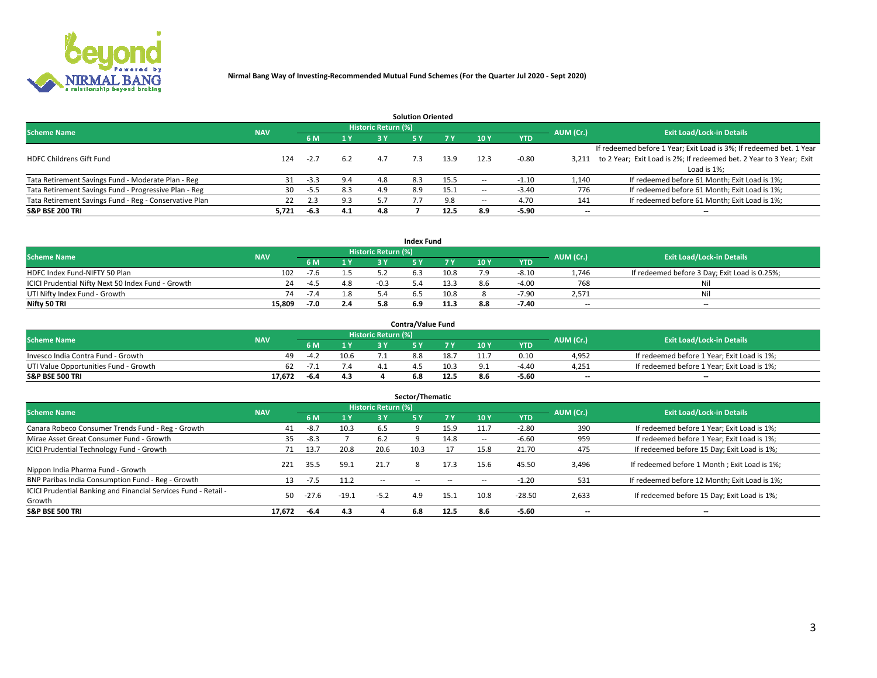

|                                                        |            |            |     |                            | <b>Solution Oriented</b> |      |                          |            |                          |                                                                     |
|--------------------------------------------------------|------------|------------|-----|----------------------------|--------------------------|------|--------------------------|------------|--------------------------|---------------------------------------------------------------------|
| <b>Scheme Name</b>                                     | <b>NAV</b> |            |     | <b>Historic Return (%)</b> |                          |      |                          |            | AUM (Cr.)                | <b>Exit Load/Lock-in Details</b>                                    |
|                                                        |            | <b>6 M</b> | 1 Y | 3 Y                        |                          |      | 10Y                      | <b>YTD</b> |                          |                                                                     |
|                                                        |            |            |     |                            |                          |      |                          |            |                          | If redeemed before 1 Year; Exit Load is 3%; If redeemed bet. 1 Year |
| <b>HDFC Childrens Gift Fund</b>                        | 124        | $-2.7$     | 6.2 | 4.7                        | 7.3                      | 13.9 | 12.3                     | $-0.80$    | 3.211                    | to 2 Year; Exit Load is 2%; If redeemed bet. 2 Year to 3 Year; Exit |
|                                                        |            |            |     |                            |                          |      |                          |            |                          | Load is 1%;                                                         |
| Tata Retirement Savings Fund - Moderate Plan - Reg     | 31         | $-3.3$     | 9.4 | 4.8                        | 8.3                      | 15.5 | --                       | $-1.10$    | 1,140                    | If redeemed before 61 Month; Exit Load is 1%;                       |
| Tata Retirement Savings Fund - Progressive Plan - Reg  | 30         | -5.5       | 8.3 | 4.9                        | 8.9                      | 15.1 | $\overline{\phantom{a}}$ | $-3.40$    | 776                      | If redeemed before 61 Month; Exit Load is 1%;                       |
| Tata Retirement Savings Fund - Reg - Conservative Plan | 22         | 2.3        | 9.3 |                            |                          | 9.8  | --                       | 4.70       | 141                      | If redeemed before 61 Month; Exit Load is 1%;                       |
| S&P BSE 200 TRI                                        | 5,721      | $-6.3$     | 4.1 | 4.8                        |                          | 12.5 | 8.9                      | $-5.90$    | $\overline{\phantom{a}}$ | $- -$                                                               |

|                                                    |            |        |     |                            | <b>Index Fund</b> |      |      |            |                          |                                               |
|----------------------------------------------------|------------|--------|-----|----------------------------|-------------------|------|------|------------|--------------------------|-----------------------------------------------|
| <b>Scheme Name</b>                                 | <b>NAV</b> |        |     | <b>Historic Return (%)</b> |                   |      |      |            | AUM (Cr.)                | <b>Exit Load/Lock-in Details</b>              |
|                                                    |            | 6 M    | 1Y  | 2 V                        |                   |      | 10 Y | <b>YTD</b> |                          |                                               |
| HDFC Index Fund-NIFTY 50 Plan                      | 102        | -7.6   |     |                            |                   | 10.8 | 7.9  | $-8.10$    | 1.746                    | If redeemed before 3 Day; Exit Load is 0.25%; |
| ICICI Prudential Nifty Next 50 Index Fund - Growth |            | $-4.5$ | 4.8 |                            |                   | 13.3 |      | $-4.00$    | 768                      | Nil                                           |
| UTI Nifty Index Fund - Growth                      | 74         | $-7.4$ | 1.8 |                            |                   | 10.8 |      | $-7.90$    | 2,571                    | Nil                                           |
| Nifty 50 TRI                                       | 15.809     | $-7.0$ | 2.4 |                            | 6.9               | 11.3 | 8.8  | $-7.40$    | $\overline{\phantom{a}}$ | $- -$                                         |

|                                       |            |      |      |                            | <b>Contra/Value Fund</b> |      |     |            |                          |                                             |
|---------------------------------------|------------|------|------|----------------------------|--------------------------|------|-----|------------|--------------------------|---------------------------------------------|
| <b>Scheme Name</b>                    | <b>NAV</b> |      |      | <b>Historic Return (%)</b> |                          |      |     |            | AUM (Cr.)                | <b>Exit Load/Lock-in Details</b>            |
|                                       |            |      | 1 V  |                            |                          | 7 V  | 10Y | <b>YTD</b> |                          |                                             |
| Invesco India Contra Fund - Growth    | 49.        | -4.2 | 10.6 |                            | 8.8                      | 18.7 |     | 0.10       | 4,952                    | If redeemed before 1 Year; Exit Load is 1%; |
| UTI Value Opportunities Fund - Growth | 62         |      | 7.4  |                            |                          | 10.3 |     | -4.40      | 4,251                    | If redeemed before 1 Year; Exit Load is 1%; |
| <b>S&amp;P BSE 500 TRI</b>            | 17.672     | -6.4 | 4.3  |                            |                          |      |     | $-5.60$    | $\overline{\phantom{a}}$ | $- -$                                       |

| Sector/Thematic                                                           |            |         |                |                            |           |           |                          |            |           |                                               |  |  |  |  |
|---------------------------------------------------------------------------|------------|---------|----------------|----------------------------|-----------|-----------|--------------------------|------------|-----------|-----------------------------------------------|--|--|--|--|
| <b>Scheme Name</b>                                                        | <b>NAV</b> |         |                | <b>Historic Return (%)</b> |           |           |                          |            | AUM (Cr.) | <b>Exit Load/Lock-in Details</b>              |  |  |  |  |
|                                                                           |            | 6 M     | 1 <sub>Y</sub> | 3 Y                        | <b>5Y</b> | <b>7Y</b> | 10Y                      | <b>YTD</b> |           |                                               |  |  |  |  |
| Canara Robeco Consumer Trends Fund - Reg - Growth                         | 41         | $-8.7$  | 10.3           | 6.5                        |           | 15.9      | 11.7                     | $-2.80$    | 390       | If redeemed before 1 Year; Exit Load is 1%;   |  |  |  |  |
| Mirae Asset Great Consumer Fund - Growth                                  | 35         | -8.3    |                | 6.2                        |           | 14.8      | $\overline{\phantom{a}}$ | $-6.60$    | 959       | If redeemed before 1 Year; Exit Load is 1%;   |  |  |  |  |
| <b>ICICI Prudential Technology Fund - Growth</b>                          | 71         | 13.7    | 20.8           | 20.6                       | 10.3      |           | 15.8                     | 21.70      | 475       | If redeemed before 15 Day; Exit Load is 1%;   |  |  |  |  |
| Nippon India Pharma Fund - Growth                                         | 221        | 35.5    | 59.1           | 21.7                       | 8         | 17.3      | 15.6                     | 45.50      | 3,496     | If redeemed before 1 Month; Exit Load is 1%;  |  |  |  |  |
| BNP Paribas India Consumption Fund - Reg - Growth                         | 13         | $-7.5$  | 11.2           | --                         |           |           | -                        | $-1.20$    | 531       | If redeemed before 12 Month; Exit Load is 1%; |  |  |  |  |
| ICICI Prudential Banking and Financial Services Fund - Retail -<br>Growth | 50.        | $-27.6$ | $-19.1$        | $-5.2$                     | 4.9       | 15.1      | 10.8                     | $-28.50$   | 2,633     | If redeemed before 15 Day; Exit Load is 1%;   |  |  |  |  |
| <b>S&amp;P BSE 500 TRI</b>                                                | 17.672     | -6.4    | 4.3            |                            | 6.8       | 12.5      | 8.6                      | $-5.60$    |           | --                                            |  |  |  |  |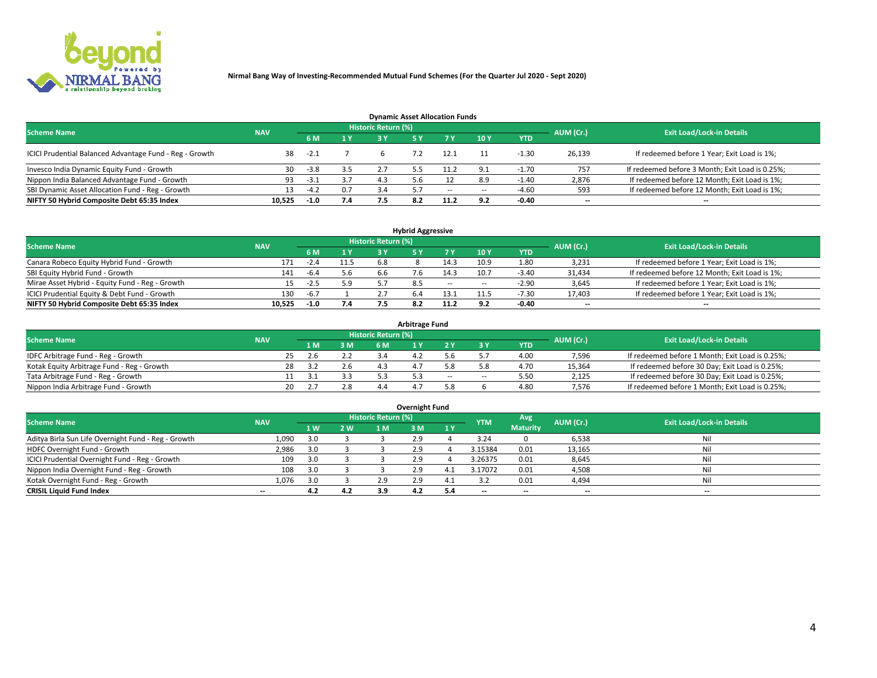

| <b>Dynamic Asset Allocation Funds</b>                   |                                                                                                                 |        |     |     |  |        |            |            |                          |                                                 |  |  |  |  |  |
|---------------------------------------------------------|-----------------------------------------------------------------------------------------------------------------|--------|-----|-----|--|--------|------------|------------|--------------------------|-------------------------------------------------|--|--|--|--|--|
|                                                         | <b>Historic Return (%)</b><br><b>Exit Load/Lock-in Details</b><br>AUM (Cr.)<br><b>Scheme Name</b><br><b>NAV</b> |        |     |     |  |        |            |            |                          |                                                 |  |  |  |  |  |
|                                                         |                                                                                                                 |        | 1 Y | ر ج |  |        | 10Y        | <b>YTD</b> |                          |                                                 |  |  |  |  |  |
| ICICI Prudential Balanced Advantage Fund - Reg - Growth | 38                                                                                                              | $-2.1$ |     |     |  | 12.1   |            | -1.30      | 26,139                   | If redeemed before 1 Year; Exit Load is 1%;     |  |  |  |  |  |
| Invesco India Dynamic Equity Fund - Growth              | 30                                                                                                              | $-3.8$ | 3.5 |     |  | 11.2   | $^{\circ}$ | $-1.70$    | 757                      | If redeemed before 3 Month; Exit Load is 0.25%; |  |  |  |  |  |
| Nippon India Balanced Advantage Fund - Growth           |                                                                                                                 | -3.1   | 3.7 | 4.3 |  |        | 8.9        | $-1.40$    | 2,876                    | If redeemed before 12 Month; Exit Load is 1%;   |  |  |  |  |  |
| SBI Dynamic Asset Allocation Fund - Reg - Growth        |                                                                                                                 | $-4.2$ | 0.7 |     |  | $\sim$ | --         | $-4.60$    | 593                      | If redeemed before 12 Month; Exit Load is 1%;   |  |  |  |  |  |
| NIFTY 50 Hybrid Composite Debt 65:35 Index              | 10,525                                                                                                          | $-1.0$ | 7.4 |     |  | 11.2   | 9.2        | $-0.40$    | $\overline{\phantom{a}}$ | $- -$                                           |  |  |  |  |  |

| <b>Hybrid Aggressive</b>                        |                                                       |        |                           |     |  |            |            |            |        |                                               |  |  |  |  |  |
|-------------------------------------------------|-------------------------------------------------------|--------|---------------------------|-----|--|------------|------------|------------|--------|-----------------------------------------------|--|--|--|--|--|
| <b>Scheme Name</b>                              | <b>Historic Return (%)</b><br>AUM (Cr.)<br><b>NAV</b> |        |                           |     |  |            |            |            |        |                                               |  |  |  |  |  |
|                                                 |                                                       |        | $\mathbf{A}$ $\mathbf{V}$ | R V |  |            | <b>10Y</b> | <b>YTD</b> |        | <b>Exit Load/Lock-in Details</b>              |  |  |  |  |  |
| Canara Robeco Equity Hybrid Fund - Growth       | 171                                                   | $-2.4$ | 11.5                      | 6.8 |  | 14.3       | 10.9       | 1.80       | 3,231  | If redeemed before 1 Year; Exit Load is 1%;   |  |  |  |  |  |
| SBI Equity Hybrid Fund - Growth                 | 141                                                   | $-6.4$ | 5.6                       | 6.6 |  | 14.3       | 10.7       | $-3.40$    | 31,434 | If redeemed before 12 Month; Exit Load is 1%; |  |  |  |  |  |
| Mirae Asset Hybrid - Equity Fund - Reg - Growth | 15.                                                   | $-2.5$ | 5.9                       |     |  | $\sim$ $-$ | $\sim$     | $-2.90$    | 3,645  | If redeemed before 1 Year; Exit Load is 1%;   |  |  |  |  |  |
| ICICI Prudential Equity & Debt Fund - Growth    | 130                                                   | $-6.7$ |                           |     |  | 13.1       |            | $-7.30$    | 17,403 | If redeemed before 1 Year; Exit Load is 1%;   |  |  |  |  |  |
| NIFTY 50 Hybrid Composite Debt 65:35 Index      | 10.525                                                | $-1.0$ | 7.4                       |     |  |            |            | $-0.40$    | --     | $- -$                                         |  |  |  |  |  |

| <b>Arbitrage Fund</b>                      |            |                                  |     |     |  |  |       |        |            |        |                                                 |  |  |  |
|--------------------------------------------|------------|----------------------------------|-----|-----|--|--|-------|--------|------------|--------|-------------------------------------------------|--|--|--|
| <b>Scheme Name</b>                         | AUM (Cr.)  | <b>Exit Load/Lock-in Details</b> |     |     |  |  |       |        |            |        |                                                 |  |  |  |
|                                            | <b>NAV</b> |                                  | 1 M | 3 M |  |  |       |        | <b>YTD</b> |        |                                                 |  |  |  |
| IDFC Arbitrage Fund - Reg - Growth         |            |                                  | 2.6 |     |  |  |       |        | 4.00       | 7,596  | If redeemed before 1 Month; Exit Load is 0.25%; |  |  |  |
| Kotak Equity Arbitrage Fund - Reg - Growth |            | 28                               |     | 2.6 |  |  |       |        | 4.7C       | 15,364 | If redeemed before 30 Day; Exit Load is 0.25%;  |  |  |  |
| Tata Arbitrage Fund - Reg - Growth         |            |                                  |     | 3.3 |  |  | $- -$ | $\sim$ | 5.50       | 2,125  | If redeemed before 30 Day; Exit Load is 0.25%;  |  |  |  |
| Nippon India Arbitrage Fund - Growth       |            | 20                               |     | 2.8 |  |  |       |        | 4.80       | 7,576  | If redeemed before 1 Month; Exit Load is 0.25%; |  |  |  |

| Overnight Fund                                      |            |     |      |                            |     |     |            |                 |                          |                                  |  |  |  |  |
|-----------------------------------------------------|------------|-----|------|----------------------------|-----|-----|------------|-----------------|--------------------------|----------------------------------|--|--|--|--|
| <b>Scheme Name</b>                                  | <b>NAV</b> |     |      | <b>Historic Return (%)</b> |     |     | <b>YTM</b> | Avg             | AUM (Cr.)                | <b>Exit Load/Lock-in Details</b> |  |  |  |  |
|                                                     |            | 1 W | 2 W. | 1 M.                       | 3 M | 1Y  |            | <b>Maturity</b> |                          |                                  |  |  |  |  |
| Aditya Birla Sun Life Overnight Fund - Reg - Growth | 1,090      |     |      |                            | 2.9 |     | 3.24       |                 | 6,538                    | Nil                              |  |  |  |  |
| HDFC Overnight Fund - Growth                        | 2,986      |     |      |                            | 2.9 |     | 3.15384    | 0.01            | 13,165                   | Nil                              |  |  |  |  |
| ICICI Prudential Overnight Fund - Reg - Growth      | 109        |     |      |                            | 2.9 |     | 3.26375    | 0.01            | 8,645                    | Nil                              |  |  |  |  |
| Nippon India Overnight Fund - Reg - Growth          | 108        |     |      |                            | 2.9 | 4   | 3.17072    | 0.01            | 4,508                    | Nil                              |  |  |  |  |
| Kotak Overnight Fund - Reg - Growth                 | 1,076      |     |      | 2.9                        | 2.9 | 4.1 |            | 0.01            | 4,494                    | Nil                              |  |  |  |  |
| <b>CRISIL Liquid Fund Index</b>                     | $- -$      | 4.2 | 4.2  | 3.9                        | 4.2 | 5.4 | --         | $- -$           | $\overline{\phantom{a}}$ | --                               |  |  |  |  |

## **Overnight Fund**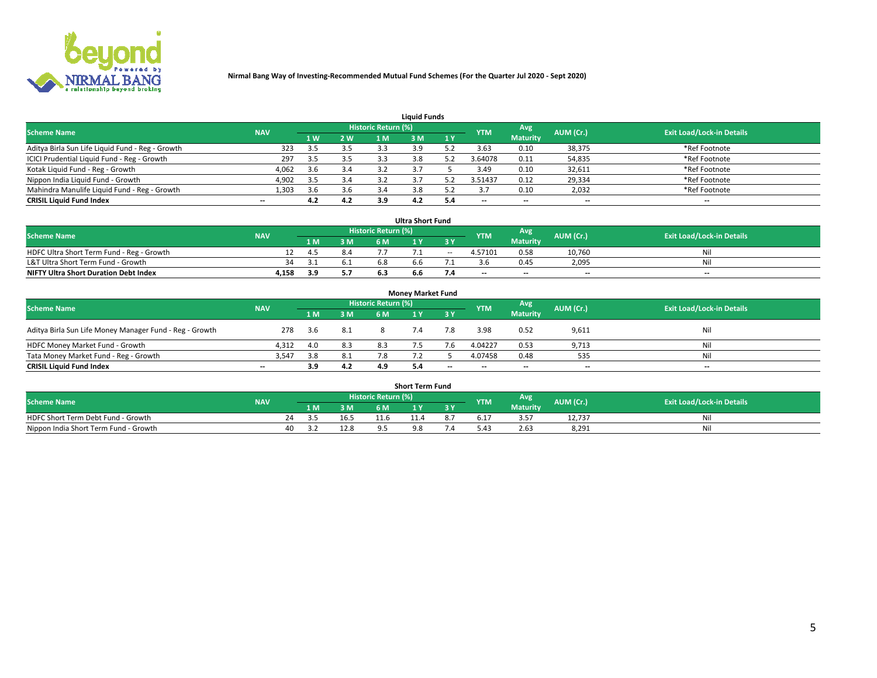

| <b>Liauid Funds</b>                              |            |            |     |           |                                  |     |         |                 |                          |                          |  |  |  |  |
|--------------------------------------------------|------------|------------|-----|-----------|----------------------------------|-----|---------|-----------------|--------------------------|--------------------------|--|--|--|--|
| <b>Scheme Name</b>                               | <b>NAV</b> | <b>YTM</b> | Avg | AUM (Cr.) | <b>Exit Load/Lock-in Details</b> |     |         |                 |                          |                          |  |  |  |  |
|                                                  |            | 1 W        | 2 W | 1 M       | ዩ M                              | 1Y  |         | <b>Maturity</b> |                          |                          |  |  |  |  |
| Aditya Birla Sun Life Liquid Fund - Reg - Growth | 323        | 3.5        | 3.5 | 3.3       |                                  |     | 3.63    | 0.10            | 38,375                   | *Ref Footnote            |  |  |  |  |
| ICICI Prudential Liquid Fund - Reg - Growth      | 297        | 3.5        | 3.5 |           | 3.8                              |     | 3.64078 | 0.11            | 54,835                   | *Ref Footnote            |  |  |  |  |
| Kotak Liquid Fund - Reg - Growth                 | 4,062      | 3.6        | 3.4 |           |                                  |     | 3.49    | 0.10            | 32,611                   | *Ref Footnote            |  |  |  |  |
| Nippon India Liquid Fund - Growth                | 4,902      | 3.5        | 3.4 |           |                                  |     | 3.51437 | 0.12            | 29,334                   | *Ref Footnote            |  |  |  |  |
| Mahindra Manulife Liquid Fund - Reg - Growth     | 1,303      | 3.6        | 3.6 | 3.4       | 3.8                              |     |         | 0.10            | 2,032                    | *Ref Footnote            |  |  |  |  |
| <b>CRISIL Liquid Fund Index</b>                  | $- -$      | 4.2        | 4.2 | 3.9       |                                  | 5.4 | $- -$   | $- -$           | $\overline{\phantom{a}}$ | $\overline{\phantom{a}}$ |  |  |  |  |

| <b>Ultra Short Fund</b>                      |            |     |     |                            |     |        |            |                 |                          |                                  |  |  |  |  |
|----------------------------------------------|------------|-----|-----|----------------------------|-----|--------|------------|-----------------|--------------------------|----------------------------------|--|--|--|--|
| <b>Scheme Name</b>                           | <b>NAV</b> |     |     | <b>Historic Return (%)</b> |     |        | <b>YTM</b> | <b>Avg</b>      | AUM (Cr.)                | <b>Exit Load/Lock-in Details</b> |  |  |  |  |
|                                              |            | 1 M | 3 M | 6 M                        |     | 3 Y    |            | <b>Maturity</b> |                          |                                  |  |  |  |  |
| HDFC Ultra Short Term Fund - Reg - Growth    |            | 4.5 | 8.4 |                            |     | $\sim$ | 4.57101    | 0.58            | 10.760                   | Nil                              |  |  |  |  |
| L&T Ultra Short Term Fund - Growth           | 34         |     | 6.1 |                            | h h |        |            | 0.45            | 2,095                    | Nil                              |  |  |  |  |
| <b>NIFTY Ultra Short Duration Debt Index</b> | 4,158      | 3.9 | 5.7 |                            | b.b |        | $-$        | $- -$           | $\overline{\phantom{a}}$ | $- -$                            |  |  |  |  |

| <b>Money Market Fund</b>                                                                                                      |                          |       |     |     |  |       |                          |                 |                          |                          |  |  |  |  |
|-------------------------------------------------------------------------------------------------------------------------------|--------------------------|-------|-----|-----|--|-------|--------------------------|-----------------|--------------------------|--------------------------|--|--|--|--|
| Historic Return (%)<br>Avg<br><b>Scheme Name</b><br>AUM (Cr.)<br><b>Exit Load/Lock-in Details</b><br><b>NAV</b><br><b>YTM</b> |                          |       |     |     |  |       |                          |                 |                          |                          |  |  |  |  |
|                                                                                                                               |                          | 1 M   | 3 M | 6 M |  | 3 Y   |                          | <b>Maturity</b> |                          |                          |  |  |  |  |
| Aditya Birla Sun Life Money Manager Fund - Reg - Growth                                                                       | 278                      | - 3.6 | 8.1 |     |  | 7.8   | 3.98                     | 0.52            | 9,611                    | Nil                      |  |  |  |  |
| HDFC Money Market Fund - Growth                                                                                               | 4.312                    | 4.0   | 8.3 | 8.3 |  |       | 4.04227                  | 0.53            | 9,713                    | Nil                      |  |  |  |  |
| Tata Money Market Fund - Reg - Growth                                                                                         | 3,547                    | 3.8   | 8.1 | 7.8 |  |       | 4.07458                  | 0.48            | 535                      | Nil                      |  |  |  |  |
| <b>CRISIL Liquid Fund Index</b>                                                                                               | $\overline{\phantom{a}}$ | 3.9   | 4.2 | 4.9 |  | $- -$ | $\overline{\phantom{a}}$ | $- -$           | $\overline{\phantom{a}}$ | $\overline{\phantom{a}}$ |  |  |  |  |

|                                       | <b>Short Term Fund</b> |     |      |                     |          |     |            |                 |           |                                  |  |  |  |  |  |
|---------------------------------------|------------------------|-----|------|---------------------|----------|-----|------------|-----------------|-----------|----------------------------------|--|--|--|--|--|
| <b>Scheme Name</b>                    | <b>NAV</b>             |     |      | Historic Return (%) |          |     | <b>YTM</b> | Avg             | AUM (Cr.) | <b>Exit Load/Lock-in Details</b> |  |  |  |  |  |
|                                       |                        | l M | 3 M  |                     |          | 3 Y |            | <b>Maturity</b> |           |                                  |  |  |  |  |  |
| HDFC Short Term Debt Fund - Growth    |                        |     | 16.5 | 11.6                |          |     | b. 1       | 3.57            | 12.737    | Nıl                              |  |  |  |  |  |
| Nippon India Short Term Fund - Growth | 40                     |     | 12.8 |                     | $\Omega$ |     | $0.4 -$    | 2.63            | 8.291     | Nil                              |  |  |  |  |  |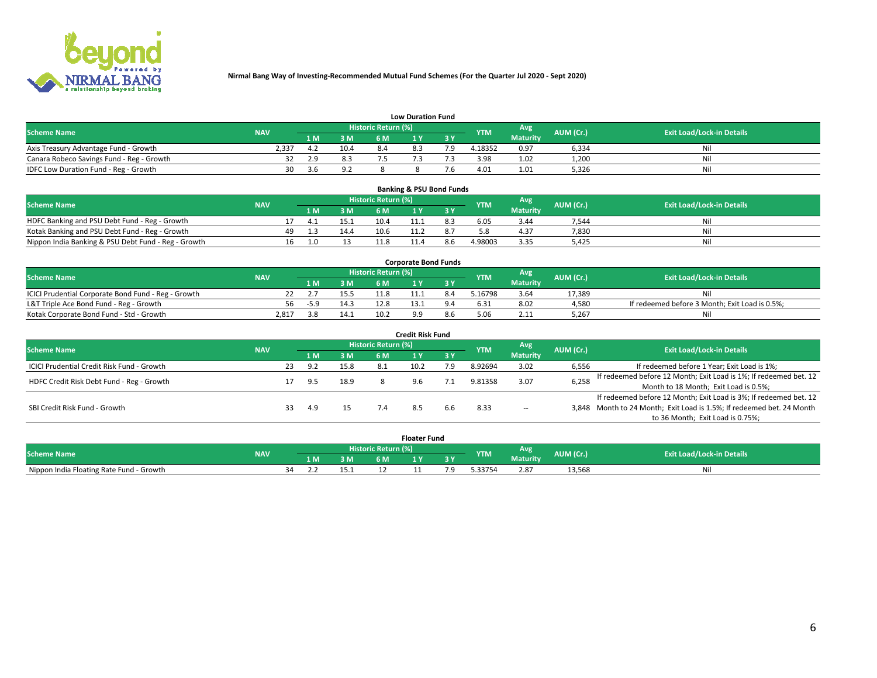

| <b>Low Duration Fund</b>                  |            |      |      |                     |     |     |            |                 |           |                                  |  |  |  |  |
|-------------------------------------------|------------|------|------|---------------------|-----|-----|------------|-----------------|-----------|----------------------------------|--|--|--|--|
| <b>Scheme Name</b>                        | <b>NAV</b> |      |      | Historic Return (%) |     |     | <b>YTM</b> | <b>Avg</b>      | AUM (Cr.) | <b>Exit Load/Lock-in Details</b> |  |  |  |  |
|                                           |            | 1 M. | 3 M  | 6 M                 |     | 2 V |            | <b>Maturity</b> |           |                                  |  |  |  |  |
| Axis Treasury Advantage Fund - Growth     | 2.337      |      | 10.4 |                     | 8.3 |     | 4.18352    | 0.97            | 6,334     | Nil                              |  |  |  |  |
| Canara Robeco Savings Fund - Reg - Growth |            | 2.9  | 8.3  |                     |     |     | 3.98       | 1.02            | 1,200     | Nil                              |  |  |  |  |
| IDFC Low Duration Fund - Reg - Growth     | 30         | 3.6  | 9.2  |                     |     |     | 4.01       | 1.01            | 5,326     | Nil                              |  |  |  |  |

| <b>Banking &amp; PSU Bond Funds</b>                 |            |    |     |      |                            |  |  |            |                 |           |                                  |  |  |  |
|-----------------------------------------------------|------------|----|-----|------|----------------------------|--|--|------------|-----------------|-----------|----------------------------------|--|--|--|
| <b>Scheme Name</b>                                  | <b>NAV</b> |    |     |      | <b>Historic Return (%)</b> |  |  | <b>YTM</b> | Avg             | AUM (Cr.) | <b>Exit Load/Lock-in Details</b> |  |  |  |
|                                                     |            |    |     | 3 M  | 6 M                        |  |  |            | <b>Maturity</b> |           |                                  |  |  |  |
| HDFC Banking and PSU Debt Fund - Reg - Growth       |            |    |     | 15.1 | 10.4                       |  |  | 6.05       | 3.44            | 7.544     | Nil                              |  |  |  |
| Kotak Banking and PSU Debt Fund - Reg - Growth      |            | 49 | . 3 | 14.4 | 10.6                       |  |  |            | 4.37            | 7,830     | Nil                              |  |  |  |
| Nippon India Banking & PSU Debt Fund - Reg - Growth |            | 16 | 1.0 |      | 11 Ջ                       |  |  | 4.98003    | 3.35            | 5.425     | Ni                               |  |  |  |

| <b>Corporate Bond Funds</b>                         |            |                                                 |      |           |                                  |     |        |                 |        |                                                |  |  |  |  |
|-----------------------------------------------------|------------|-------------------------------------------------|------|-----------|----------------------------------|-----|--------|-----------------|--------|------------------------------------------------|--|--|--|--|
| <b>Scheme Name</b>                                  | <b>NAV</b> | <b>Historic Return (%)</b><br>Avg<br><b>YTM</b> |      | AUM (Cr.) | <b>Exit Load/Lock-in Details</b> |     |        |                 |        |                                                |  |  |  |  |
|                                                     |            | 1 M                                             | 3 M  | 6 M       |                                  |     |        | <b>Maturity</b> |        |                                                |  |  |  |  |
| ICICI Prudential Corporate Bond Fund - Reg - Growth |            |                                                 |      |           |                                  | 8.4 | .16798 | 3.64            | 17.389 |                                                |  |  |  |  |
| L&T Triple Ace Bond Fund - Reg - Growth             | 56         | $-5.9$                                          | 14.3 | 12.8      |                                  |     | 5.31   | 8.02            | 4,580  | If redeemed before 3 Month; Exit Load is 0.5%; |  |  |  |  |
| Kotak Corporate Bond Fund - Std - Growth            | 2.817      |                                                 | 14.1 | 10.2      |                                  | 8.b | , OF   | 2.11            | 5.267  | Νi                                             |  |  |  |  |

| <b>Credit Risk Fund</b>                    |            |    |     |      |                            |      |           |            |                 |           |                                                                       |  |  |  |
|--------------------------------------------|------------|----|-----|------|----------------------------|------|-----------|------------|-----------------|-----------|-----------------------------------------------------------------------|--|--|--|
| <b>Scheme Name</b>                         | <b>NAV</b> |    |     |      | <b>Historic Return (%)</b> |      |           | <b>YTM</b> | Avg             | AUM (Cr.) | <b>Exit Load/Lock-in Details</b>                                      |  |  |  |
|                                            |            |    | 1 M | 3 M  | 6 M                        |      | <b>3Y</b> |            | <b>Maturity</b> |           |                                                                       |  |  |  |
| ICICI Prudential Credit Risk Fund - Growth |            | 23 | 9.2 | 15.8 | -8.1                       | 10.2 | 7.9       | 8.92694    | 3.02            | 6,556     | If redeemed before 1 Year; Exit Load is 1%;                           |  |  |  |
| HDFC Credit Risk Debt Fund - Reg - Growth  |            |    | 9.5 | 18.9 |                            |      |           | 9.81358    | 3.07            | 6,258     | If redeemed before 12 Month; Exit Load is 1%; If redeemed bet. 12     |  |  |  |
|                                            |            |    |     |      |                            |      |           |            |                 |           | Month to 18 Month; Exit Load is 0.5%;                                 |  |  |  |
|                                            |            |    |     |      |                            |      |           |            |                 |           | If redeemed before 12 Month; Exit Load is 3%; If redeemed bet. 12     |  |  |  |
| SBI Credit Risk Fund - Growth              |            |    | 4.9 |      |                            |      |           | 8.33       | $\sim$ $-$      |           | 3,848 Month to 24 Month; Exit Load is 1.5%; If redeemed bet. 24 Month |  |  |  |
|                                            |            |    |     |      |                            |      |           |            |                 |           | to 36 Month; Exit Load is 0.75%;                                      |  |  |  |

| <b>Floater Fund</b>                      |            |                            |     |     |      |     |     |            |                 |           |                                  |
|------------------------------------------|------------|----------------------------|-----|-----|------|-----|-----|------------|-----------------|-----------|----------------------------------|
| <b>Scheme Name</b>                       | <b>NAV</b> | <b>Historic Return (%)</b> |     |     |      |     |     | <b>YTM</b> | Avg             | AUM (Cr.) | <b>Exit Load/Lock-in Details</b> |
|                                          |            |                            | 1 M | 3 M | 6 M' | i v | י כ |            | <b>Maturity</b> |           |                                  |
| Nippon India Floating Rate Fund - Growth |            | ٦Δ                         |     |     | --   |     |     | -33754.د   | 2.87            | 13,568    | Νı                               |